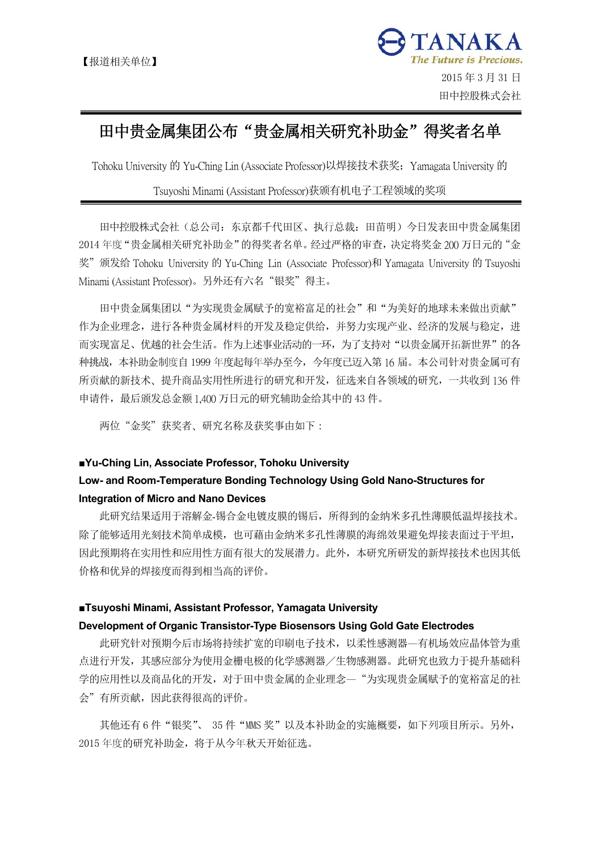

# 田中贵金属集团公布"贵金属相关研究补助金"得奖者名单

Tohoku University 的 Yu-Ching Lin (Associate Professor)以焊接技术获奖;Yamagata University 的

# Tsuyoshi Minami (Assistant Professor)获颁有机电子工程领域的奖项

 田中控股株式会社(总公司:东京都千代田区、执行总裁:田苗明)今日发表田中贵金属集团 2014 年度"贵金属相关研究补助金"的得奖者名单。经过严格的审查,决定将奖金 200 万日元的"金 奖" 颁发给 Tohoku University 的 Yu-Ching Lin (Associate Professor)和 Yamagata University 的 Tsuyoshi Minami (Assistant Professor)。另外还有六名"银奖"得主。

田中贵金属集团以"为实现贵金属赋予的宽裕富足的社会"和"为美好的地球未来做出贡献" 作为企业理念,进行各种贵金属材料的开发及稳定供给,并努力实现产业、经济的发展与稳定,进 而实现富足、优越的社会生活。作为上述事业活动的一环,为了支持对"以贵金属开拓新世界"的各 种挑战,本补助金制度自 1999 年度起每年举办至今,今年度已迈入第 16 届。本公司针对贵金属可有 所贡献的新技术、提升商品实用性所进行的研究和开发,征选来自各领域的研究,一共收到 136 件 申请件,最后颁发总金额 1,400 万日元的研究辅助金给其中的 43 件。

两位"金奖"获奖者、研究名称及获奖事由如下:

#### **■Yu-Ching Lin, Associate Professor, Tohoku University**

# **Low- and Room-Temperature Bonding Technology Using Gold Nano-Structures for Integration of Micro and Nano Devices**

 此研究结果适用于溶解金-锡合金电镀皮膜的锡后,所得到的金纳米多孔性薄膜低温焊接技术。 除了能够适用光刻技术简单成模,也可藉由金纳米多孔性薄膜的海绵效果避免焊接表面过于平坦, 因此预期将在实用性和应用性方面有很大的发展潜力。此外,本研究所研发的新焊接技术也因其低 价格和优异的焊接度而得到相当高的评价。

#### **■Tsuyoshi Minami, Assistant Professor, Yamagata University**

#### **Development of Organic Transistor-Type Biosensors Using Gold Gate Electrodes**

 此研究针对预期今后市场将持续扩宽的印刷电子技术,以柔性感测器—有机场效应晶体管为重 点进行开发,其感应部分为使用金栅电极的化学感测器/生物感测器。此研究也致力于提升基础科 学的应用性以及商品化的开发,对于田中贵金属的企业理念—"为实现贵金属赋予的宽裕富足的社 会"有所贡献,因此获得很高的评价。

其他还有 6 件"银奖"、 35 件"MMS 奖"以及本补助金的实施概要, 如下列项目所示。另外, 2015 年度的研究补助金,将于从今年秋天开始征选。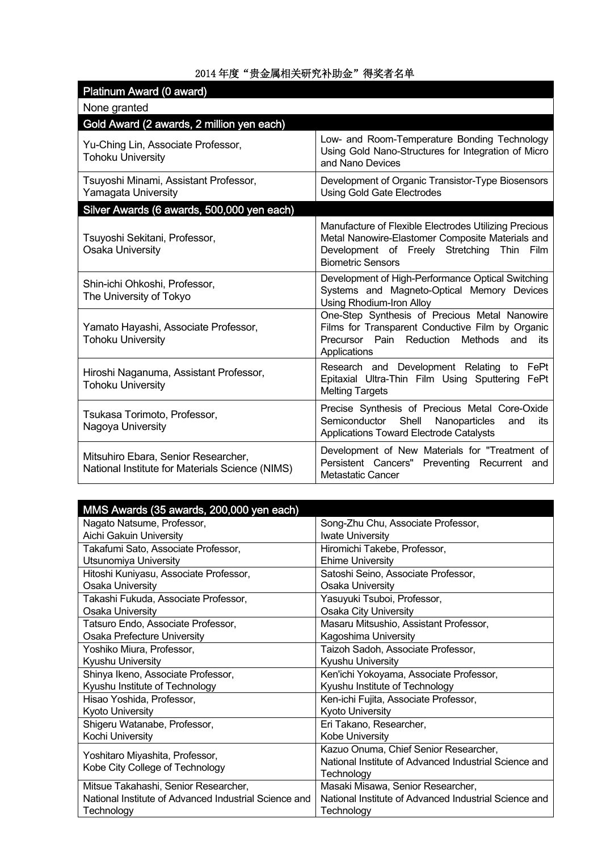| Platinum Award (0 award)                                                               |                                                                                                                                                                                     |
|----------------------------------------------------------------------------------------|-------------------------------------------------------------------------------------------------------------------------------------------------------------------------------------|
| None granted                                                                           |                                                                                                                                                                                     |
| Gold Award (2 awards, 2 million yen each)                                              |                                                                                                                                                                                     |
| Yu-Ching Lin, Associate Professor,<br><b>Tohoku University</b>                         | Low- and Room-Temperature Bonding Technology<br>Using Gold Nano-Structures for Integration of Micro<br>and Nano Devices                                                             |
| Tsuyoshi Minami, Assistant Professor,<br>Yamagata University                           | Development of Organic Transistor-Type Biosensors<br><b>Using Gold Gate Electrodes</b>                                                                                              |
| Silver Awards (6 awards, 500,000 yen each)                                             |                                                                                                                                                                                     |
| Tsuyoshi Sekitani, Professor,<br>Osaka University                                      | Manufacture of Flexible Electrodes Utilizing Precious<br>Metal Nanowire-Elastomer Composite Materials and<br>Development of Freely Stretching Thin Film<br><b>Biometric Sensors</b> |
| Shin-ichi Ohkoshi, Professor,<br>The University of Tokyo                               | Development of High-Performance Optical Switching<br>Systems and Magneto-Optical Memory Devices<br>Using Rhodium-Iron Alloy                                                         |
| Yamato Hayashi, Associate Professor,<br><b>Tohoku University</b>                       | One-Step Synthesis of Precious Metal Nanowire<br>Films for Transparent Conductive Film by Organic<br>Precursor Pain Reduction Methods and<br>its<br>Applications                    |
| Hiroshi Naganuma, Assistant Professor,<br><b>Tohoku University</b>                     | Research and Development Relating to FePt<br>Epitaxial Ultra-Thin Film Using Sputtering<br>FePt<br><b>Melting Targets</b>                                                           |
| Tsukasa Torimoto, Professor,<br>Nagoya University                                      | Precise Synthesis of Precious Metal Core-Oxide<br>Semiconductor Shell<br>Nanoparticles<br>and<br>its<br>Applications Toward Electrode Catalysts                                     |
| Mitsuhiro Ebara, Senior Researcher,<br>National Institute for Materials Science (NIMS) | Development of New Materials for "Treatment of<br>Persistent Cancers" Preventing Recurrent and<br>Metastatic Cancer                                                                 |

| MMS Awards (35 awards, 200,000 yen each)              |                                                       |
|-------------------------------------------------------|-------------------------------------------------------|
| Nagato Natsume, Professor,                            | Song-Zhu Chu, Associate Professor,                    |
| Aichi Gakuin University                               | <b>Iwate University</b>                               |
| Takafumi Sato, Associate Professor,                   | Hiromichi Takebe, Professor,                          |
| Utsunomiya University                                 | <b>Ehime University</b>                               |
| Hitoshi Kuniyasu, Associate Professor,                | Satoshi Seino, Associate Professor,                   |
| Osaka University                                      | Osaka University                                      |
| Takashi Fukuda, Associate Professor,                  | Yasuyuki Tsuboi, Professor,                           |
| Osaka University                                      | <b>Osaka City University</b>                          |
| Tatsuro Endo, Associate Professor,                    | Masaru Mitsushio, Assistant Professor,                |
| Osaka Prefecture University                           | Kagoshima University                                  |
| Yoshiko Miura, Professor,                             | Taizoh Sadoh, Associate Professor,                    |
| Kyushu University                                     | Kyushu University                                     |
| Shinya Ikeno, Associate Professor,                    | Ken'ichi Yokoyama, Associate Professor,               |
| Kyushu Institute of Technology                        | Kyushu Institute of Technology                        |
| Hisao Yoshida, Professor,                             | Ken-ichi Fujita, Associate Professor,                 |
| <b>Kyoto University</b>                               | Kyoto University                                      |
| Shigeru Watanabe, Professor,                          | Eri Takano, Researcher,                               |
| Kochi University                                      | Kobe University                                       |
| Yoshitaro Miyashita, Professor,                       | Kazuo Onuma, Chief Senior Researcher,                 |
| Kobe City College of Technology                       | National Institute of Advanced Industrial Science and |
|                                                       | Technology                                            |
| Mitsue Takahashi, Senior Researcher,                  | Masaki Misawa, Senior Researcher,                     |
| National Institute of Advanced Industrial Science and | National Institute of Advanced Industrial Science and |
| Technology                                            | Technology                                            |

# 2014 年度"贵金属相关研究补助金"得奖者名单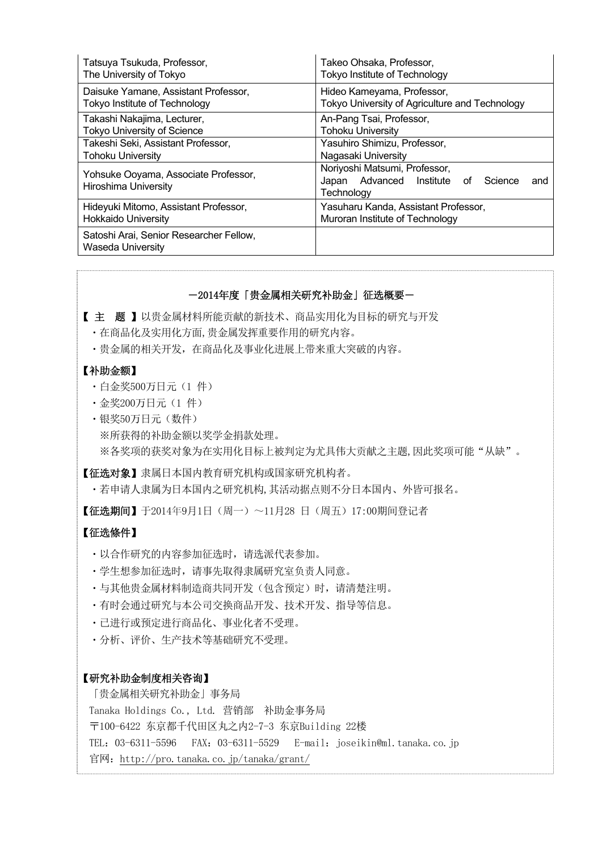| Tatsuya Tsukuda, Professor,                                  | Takeo Ohsaka, Professor,                                                                        |
|--------------------------------------------------------------|-------------------------------------------------------------------------------------------------|
| The University of Tokyo                                      | Tokyo Institute of Technology                                                                   |
| Daisuke Yamane, Assistant Professor,                         | Hideo Kameyama, Professor,                                                                      |
| Tokyo Institute of Technology                                | Tokyo University of Agriculture and Technology                                                  |
| Takashi Nakajima, Lecturer,                                  | An-Pang Tsai, Professor,                                                                        |
| <b>Tokyo University of Science</b>                           | <b>Tohoku University</b>                                                                        |
| Takeshi Seki, Assistant Professor,                           | Yasuhiro Shimizu, Professor,                                                                    |
| Tohoku University                                            | Nagasaki University                                                                             |
| Yohsuke Ooyama, Associate Professor,<br>Hiroshima University | Noriyoshi Matsumi, Professor,<br>Japan Advanced Institute<br>Science<br>and<br>0t<br>Technology |
| Hideyuki Mitomo, Assistant Professor,                        | Yasuharu Kanda, Assistant Professor,                                                            |
| Hokkaido University                                          | Muroran Institute of Technology                                                                 |
| Satoshi Arai, Senior Researcher Fellow,<br>Waseda University |                                                                                                 |

## ―2014年度「贵金属相关研究补助金」征选概要―

【 主 题 】以贵金属材料所能贡献的新技术、商品实用化为目标的研究与开发

- ・在商品化及实用化方面,贵金属发挥重要作用的研究内容。
- ・贵金属的相关开发,在商品化及事业化进展上带来重大突破的内容。

# 【补助金额】

- ・白金奖500万日元(1 件)
- ・金奖200万日元(1 件)
- ・银奖50万日元(数件) ※所获得的补助金额以奖学金捐款处理。 ※各奖项的获奖对象为在实用化目标上被判定为尤具伟大贡献之主题,因此奖项可能"从缺"。

【征选对象】隶属日本国内教育研究机构或国家研究机构者。

・若申请人隶属为日本国内之研究机构,其活动据点则不分日本国内、外皆可报名。

【征选期间】于2014年9月1日(周一)~11月28 日(周五)17:00期间登记者

## 【征选條件】

- ・以合作研究的内容参加征选时,请选派代表参加。
- ・学生想参加征选时,请事先取得隶属研究室负责人同意。
- ・与其他贵金属材料制造商共同开发(包含预定)时,请清楚注明。
- ・有时会通过研究与本公司交换商品开发、技术开发、指导等信息。
- ・已进行或预定进行商品化、事业化者不受理。
- ・分析、评价、生产技术等基础研究不受理。

### 【研究补助金制度相关咨询】

「贵金属相关研究补助金」事务局 Tanaka Holdings Co., Ltd. 营销部 补助金事务局 〒100-6422 东京都千代田区丸之内2-7-3 东京Building 22楼 TEL: 03-6311-5596 FAX: 03-6311-5529 E-mail: joseikin@ml.tanaka.co.jp 官网: http://pro.tanaka.co.jp/tanaka/grant/